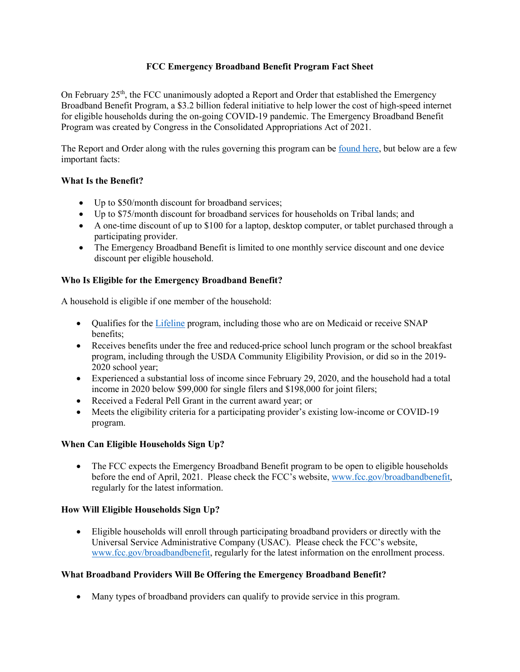## **FCC Emergency Broadband Benefit Program Fact Sheet**

On February 25<sup>th</sup>, the FCC unanimously adopted a Report and Order that established the Emergency Broadband Benefit Program, a \$3.2 billion federal initiative to help lower the cost of high-speed internet for eligible households during the on-going COVID-19 pandemic. The Emergency Broadband Benefit Program was created by Congress in the Consolidated Appropriations Act of 2021.

The Report and Order along with the rules governing this program can be [found here,](https://www.fcc.gov/document/fcc-adopts-report-and-order-emergency-broadband-benefit-program-0) but below are a few important facts:

## **What Is the Benefit?**

- Up to \$50/month discount for broadband services;
- Up to \$75/month discount for broadband services for households on Tribal lands; and
- A one-time discount of up to \$100 for a laptop, desktop computer, or tablet purchased through a participating provider.
- The Emergency Broadband Benefit is limited to one monthly service discount and one device discount per eligible household.

## **Who Is Eligible for the Emergency Broadband Benefit?**

A household is eligible if one member of the household:

- Qualifies for the [Lifeline](https://www.fcc.gov/lifeline-consumers) program, including those who are on Medicaid or receive SNAP benefits;
- Receives benefits under the free and reduced-price school lunch program or the school breakfast program, including through the USDA Community Eligibility Provision, or did so in the 2019- 2020 school year;
- Experienced a substantial loss of income since February 29, 2020, and the household had a total income in 2020 below \$99,000 for single filers and \$198,000 for joint filers;
- Received a Federal Pell Grant in the current award year; or
- Meets the eligibility criteria for a participating provider's existing low-income or COVID-19 program.

#### **When Can Eligible Households Sign Up?**

• The FCC expects the Emergency Broadband Benefit program to be open to eligible households before the end of April, 2021. Please check the FCC's website, [www.fcc.gov/broadbandbenefit,](http://www.fcc.gov/broadbandbenefit) regularly for the latest information.

## **How Will Eligible Households Sign Up?**

• Eligible households will enroll through participating broadband providers or directly with the Universal Service Administrative Company (USAC). Please check the FCC's website, [www.fcc.gov/broadbandbenefit,](http://www.fcc.gov/broadbandbenefit) regularly for the latest information on the enrollment process.

#### **What Broadband Providers Will Be Offering the Emergency Broadband Benefit?**

• Many types of broadband providers can qualify to provide service in this program.